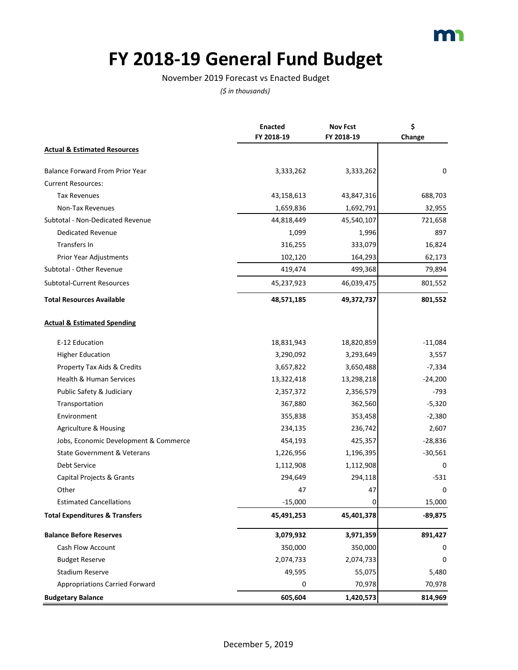# **FY 2018-19 General Fund Budget**

### November 2019 Forecast vs Enacted Budget

|                                           | <b>Enacted</b> | <b>Nov Fcst</b> | \$        |
|-------------------------------------------|----------------|-----------------|-----------|
|                                           | FY 2018-19     | FY 2018-19      | Change    |
| <b>Actual &amp; Estimated Resources</b>   |                |                 |           |
| <b>Balance Forward From Prior Year</b>    | 3,333,262      | 3,333,262       | 0         |
| <b>Current Resources:</b>                 |                |                 |           |
| <b>Tax Revenues</b>                       | 43,158,613     | 43,847,316      | 688,703   |
| Non-Tax Revenues                          | 1,659,836      | 1,692,791       | 32,955    |
| Subtotal - Non-Dedicated Revenue          | 44,818,449     | 45,540,107      | 721,658   |
| Dedicated Revenue                         | 1,099          | 1,996           | 897       |
| Transfers In                              | 316,255        | 333,079         | 16,824    |
| Prior Year Adjustments                    | 102,120        | 164,293         | 62,173    |
| Subtotal - Other Revenue                  | 419,474        | 499,368         | 79,894    |
| Subtotal-Current Resources                | 45,237,923     | 46,039,475      | 801,552   |
| <b>Total Resources Available</b>          | 48,571,185     | 49,372,737      | 801,552   |
| <b>Actual &amp; Estimated Spending</b>    |                |                 |           |
| E-12 Education                            | 18,831,943     | 18,820,859      | $-11,084$ |
| <b>Higher Education</b>                   | 3,290,092      | 3,293,649       | 3,557     |
| Property Tax Aids & Credits               | 3,657,822      | 3,650,488       | $-7,334$  |
| Health & Human Services                   | 13,322,418     | 13,298,218      | $-24,200$ |
| Public Safety & Judiciary                 | 2,357,372      | 2,356,579       | -793      |
| Transportation                            | 367,880        | 362,560         | $-5,320$  |
| Environment                               | 355,838        | 353,458         | $-2,380$  |
| Agriculture & Housing                     | 234,135        | 236,742         | 2,607     |
| Jobs, Economic Development & Commerce     | 454,193        | 425,357         | $-28,836$ |
| State Government & Veterans               | 1,226,956      | 1,196,395       | $-30,561$ |
| <b>Debt Service</b>                       | 1,112,908      | 1,112,908       | 0         |
| Capital Projects & Grants                 | 294,649        | 294,118         | $-531$    |
| Other                                     | 47             | 47              | 0         |
| <b>Estimated Cancellations</b>            | $-15,000$      |                 | 15,000    |
| <b>Total Expenditures &amp; Transfers</b> | 45,491,253     | 45,401,378      | $-89,875$ |
| <b>Balance Before Reserves</b>            | 3,079,932      | 3,971,359       | 891,427   |
| Cash Flow Account                         | 350,000        | 350,000         | 0         |
| <b>Budget Reserve</b>                     | 2,074,733      | 2,074,733       | 0         |
| <b>Stadium Reserve</b>                    | 49,595         | 55,075          | 5,480     |
| <b>Appropriations Carried Forward</b>     | 0              | 70,978          | 70,978    |
| <b>Budgetary Balance</b>                  | 605,604        | 1,420,573       | 814,969   |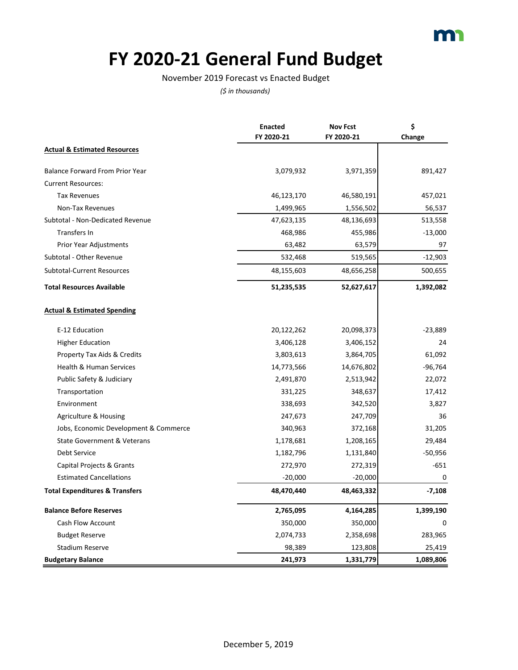### **FY 2020-21 General Fund Budget**

### November 2019 Forecast vs Enacted Budget

|                                           | <b>Enacted</b> | <b>Nov Fcst</b> | \$        |
|-------------------------------------------|----------------|-----------------|-----------|
|                                           | FY 2020-21     | FY 2020-21      | Change    |
| <b>Actual &amp; Estimated Resources</b>   |                |                 |           |
| <b>Balance Forward From Prior Year</b>    | 3,079,932      | 3,971,359       | 891,427   |
| <b>Current Resources:</b>                 |                |                 |           |
| <b>Tax Revenues</b>                       | 46,123,170     | 46,580,191      | 457,021   |
| Non-Tax Revenues                          | 1,499,965      | 1,556,502       | 56,537    |
| Subtotal - Non-Dedicated Revenue          | 47,623,135     | 48,136,693      | 513,558   |
| Transfers In                              | 468,986        | 455,986         | $-13,000$ |
| Prior Year Adjustments                    | 63,482         | 63,579          | 97        |
| Subtotal - Other Revenue                  | 532,468        | 519,565         | $-12,903$ |
| <b>Subtotal-Current Resources</b>         | 48,155,603     | 48,656,258      | 500,655   |
| <b>Total Resources Available</b>          | 51,235,535     | 52,627,617      | 1,392,082 |
| <b>Actual &amp; Estimated Spending</b>    |                |                 |           |
| E-12 Education                            | 20,122,262     | 20,098,373      | $-23,889$ |
| <b>Higher Education</b>                   | 3,406,128      | 3,406,152       | 24        |
| Property Tax Aids & Credits               | 3,803,613      | 3,864,705       | 61,092    |
| Health & Human Services                   | 14,773,566     | 14,676,802      | $-96,764$ |
| Public Safety & Judiciary                 | 2,491,870      | 2,513,942       | 22,072    |
| Transportation                            | 331,225        | 348,637         | 17,412    |
| Environment                               | 338,693        | 342,520         | 3,827     |
| Agriculture & Housing                     | 247,673        | 247,709         | 36        |
| Jobs, Economic Development & Commerce     | 340,963        | 372,168         | 31,205    |
| <b>State Government &amp; Veterans</b>    | 1,178,681      | 1,208,165       | 29,484    |
| <b>Debt Service</b>                       | 1,182,796      | 1,131,840       | $-50,956$ |
| Capital Projects & Grants                 | 272,970        | 272,319         | $-651$    |
| <b>Estimated Cancellations</b>            | $-20,000$      | $-20,000$       | 0         |
| <b>Total Expenditures &amp; Transfers</b> | 48,470,440     | 48,463,332      | $-7,108$  |
| <b>Balance Before Reserves</b>            | 2,765,095      | 4,164,285       | 1,399,190 |
| Cash Flow Account                         | 350,000        | 350,000         | 0         |
| <b>Budget Reserve</b>                     | 2,074,733      | 2,358,698       | 283,965   |
| <b>Stadium Reserve</b>                    | 98,389         | 123,808         | 25,419    |
| <b>Budgetary Balance</b>                  | 241,973        | 1,331,779       | 1,089,806 |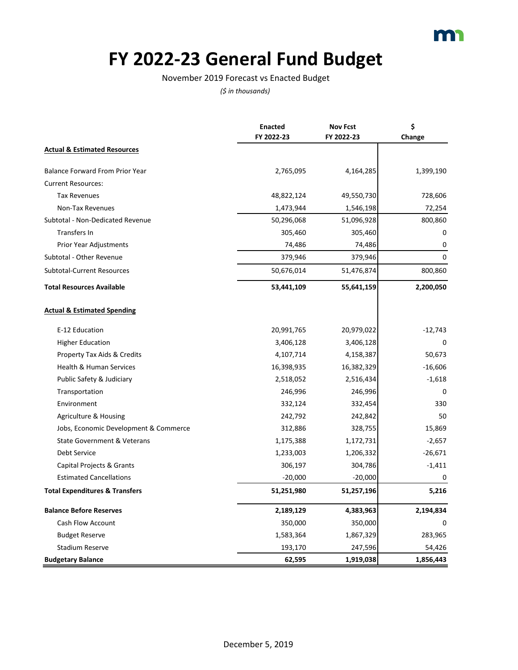### **FY 2022-23 General Fund Budget**

### November 2019 Forecast vs Enacted Budget

|                                           | <b>Enacted</b> | <b>Nov Fcst</b> | \$        |
|-------------------------------------------|----------------|-----------------|-----------|
|                                           | FY 2022-23     | FY 2022-23      | Change    |
| <b>Actual &amp; Estimated Resources</b>   |                |                 |           |
| <b>Balance Forward From Prior Year</b>    | 2,765,095      | 4,164,285       | 1,399,190 |
| <b>Current Resources:</b>                 |                |                 |           |
| <b>Tax Revenues</b>                       | 48,822,124     | 49,550,730      | 728,606   |
| Non-Tax Revenues                          | 1,473,944      | 1,546,198       | 72,254    |
| Subtotal - Non-Dedicated Revenue          | 50,296,068     | 51,096,928      | 800,860   |
| Transfers In                              | 305,460        | 305,460         | 0         |
| Prior Year Adjustments                    | 74,486         | 74,486          | 0         |
| Subtotal - Other Revenue                  | 379,946        | 379,946         | $\Omega$  |
| <b>Subtotal-Current Resources</b>         | 50,676,014     | 51,476,874      | 800,860   |
| <b>Total Resources Available</b>          | 53,441,109     | 55,641,159      | 2,200,050 |
| <b>Actual &amp; Estimated Spending</b>    |                |                 |           |
| E-12 Education                            | 20,991,765     | 20,979,022      | $-12,743$ |
| <b>Higher Education</b>                   | 3,406,128      | 3,406,128       | 0         |
| Property Tax Aids & Credits               | 4,107,714      | 4,158,387       | 50,673    |
| <b>Health &amp; Human Services</b>        | 16,398,935     | 16,382,329      | $-16,606$ |
| Public Safety & Judiciary                 | 2,518,052      | 2,516,434       | $-1,618$  |
| Transportation                            | 246,996        | 246,996         | $\Omega$  |
| Environment                               | 332,124        | 332,454         | 330       |
| Agriculture & Housing                     | 242,792        | 242,842         | 50        |
| Jobs, Economic Development & Commerce     | 312,886        | 328,755         | 15,869    |
| <b>State Government &amp; Veterans</b>    | 1,175,388      | 1,172,731       | $-2,657$  |
| Debt Service                              | 1,233,003      | 1,206,332       | $-26,671$ |
| Capital Projects & Grants                 | 306,197        | 304,786         | $-1,411$  |
| <b>Estimated Cancellations</b>            | $-20,000$      | $-20,000$       | 0         |
| <b>Total Expenditures &amp; Transfers</b> | 51,251,980     | 51,257,196      | 5,216     |
| <b>Balance Before Reserves</b>            | 2,189,129      | 4,383,963       | 2,194,834 |
| Cash Flow Account                         | 350,000        | 350,000         | $\Omega$  |
| <b>Budget Reserve</b>                     | 1,583,364      | 1,867,329       | 283,965   |
| <b>Stadium Reserve</b>                    | 193,170        | 247,596         | 54,426    |
| <b>Budgetary Balance</b>                  | 62,595         | 1,919,038       | 1,856,443 |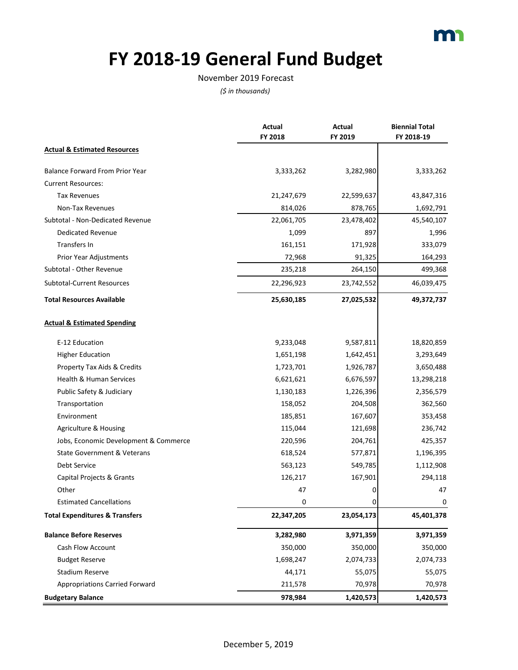

# **FY 2018-19 General Fund Budget**

#### November 2019 Forecast

|                                           | Actual<br>FY 2018 | Actual<br>FY 2019 | <b>Biennial Total</b><br>FY 2018-19 |
|-------------------------------------------|-------------------|-------------------|-------------------------------------|
| <b>Actual &amp; Estimated Resources</b>   |                   |                   |                                     |
| <b>Balance Forward From Prior Year</b>    | 3,333,262         | 3,282,980         | 3,333,262                           |
| <b>Current Resources:</b>                 |                   |                   |                                     |
| <b>Tax Revenues</b>                       | 21,247,679        | 22,599,637        | 43,847,316                          |
| Non-Tax Revenues                          | 814,026           | 878,765           | 1,692,791                           |
| Subtotal - Non-Dedicated Revenue          | 22,061,705        | 23,478,402        | 45,540,107                          |
| Dedicated Revenue                         | 1,099             | 897               | 1,996                               |
| Transfers In                              | 161,151           | 171,928           | 333,079                             |
| Prior Year Adjustments                    | 72,968            | 91,325            | 164,293                             |
| Subtotal - Other Revenue                  | 235,218           | 264,150           | 499,368                             |
| <b>Subtotal-Current Resources</b>         | 22,296,923        | 23,742,552        | 46,039,475                          |
| <b>Total Resources Available</b>          | 25,630,185        | 27,025,532        | 49,372,737                          |
| <b>Actual &amp; Estimated Spending</b>    |                   |                   |                                     |
| E-12 Education                            | 9,233,048         | 9,587,811         | 18,820,859                          |
| <b>Higher Education</b>                   | 1,651,198         | 1,642,451         | 3,293,649                           |
| Property Tax Aids & Credits               | 1,723,701         | 1,926,787         | 3,650,488                           |
| Health & Human Services                   | 6,621,621         | 6,676,597         | 13,298,218                          |
| Public Safety & Judiciary                 | 1,130,183         | 1,226,396         | 2,356,579                           |
| Transportation                            | 158,052           | 204,508           | 362,560                             |
| Environment                               | 185,851           | 167,607           | 353,458                             |
| Agriculture & Housing                     | 115,044           | 121,698           | 236,742                             |
| Jobs, Economic Development & Commerce     | 220,596           | 204,761           | 425,357                             |
| State Government & Veterans               | 618,524           | 577,871           | 1,196,395                           |
| <b>Debt Service</b>                       | 563,123           | 549,785           | 1,112,908                           |
| Capital Projects & Grants                 | 126,217           | 167,901           | 294,118                             |
| Other                                     | 47                | 0                 | 47                                  |
| <b>Estimated Cancellations</b>            |                   |                   | $\mathbf 0$                         |
| <b>Total Expenditures &amp; Transfers</b> | 22,347,205        | 23,054,173        | 45,401,378                          |
| <b>Balance Before Reserves</b>            | 3,282,980         | 3,971,359         | 3,971,359                           |
| <b>Cash Flow Account</b>                  | 350,000           | 350,000           | 350,000                             |
| <b>Budget Reserve</b>                     | 1,698,247         | 2,074,733         | 2,074,733                           |
| <b>Stadium Reserve</b>                    | 44,171            | 55,075            | 55,075                              |
| <b>Appropriations Carried Forward</b>     | 211,578           | 70,978            | 70,978                              |
| <b>Budgetary Balance</b>                  | 978,984           | 1,420,573         | 1,420,573                           |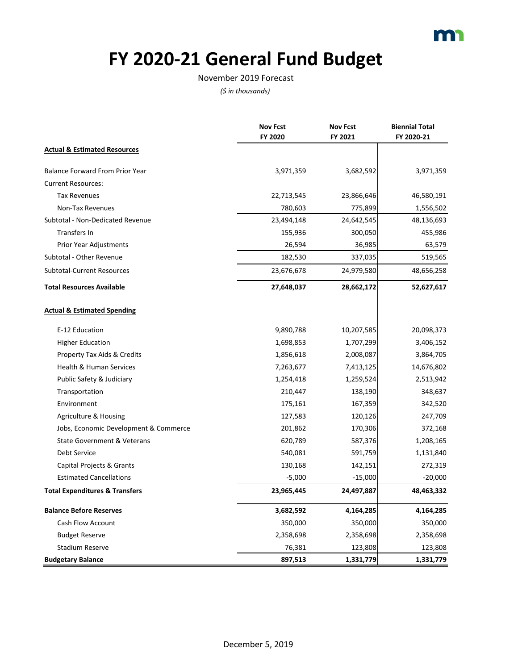

# **FY 2020-21 General Fund Budget**

#### November 2019 Forecast

|                                           | <b>Nov Fcst</b> | <b>Nov Fcst</b> | <b>Biennial Total</b> |
|-------------------------------------------|-----------------|-----------------|-----------------------|
|                                           | <b>FY 2020</b>  | FY 2021         | FY 2020-21            |
| <b>Actual &amp; Estimated Resources</b>   |                 |                 |                       |
| <b>Balance Forward From Prior Year</b>    | 3,971,359       | 3,682,592       | 3,971,359             |
| <b>Current Resources:</b>                 |                 |                 |                       |
| <b>Tax Revenues</b>                       | 22,713,545      | 23,866,646      | 46,580,191            |
| Non-Tax Revenues                          | 780,603         | 775,899         | 1,556,502             |
| Subtotal - Non-Dedicated Revenue          | 23,494,148      | 24,642,545      | 48,136,693            |
| Transfers In                              | 155,936         | 300,050         | 455,986               |
| Prior Year Adjustments                    | 26,594          | 36,985          | 63,579                |
| Subtotal - Other Revenue                  | 182,530         | 337,035         | 519,565               |
| <b>Subtotal-Current Resources</b>         | 23,676,678      | 24,979,580      | 48,656,258            |
| <b>Total Resources Available</b>          | 27,648,037      | 28,662,172      | 52,627,617            |
| <b>Actual &amp; Estimated Spending</b>    |                 |                 |                       |
| E-12 Education                            | 9,890,788       | 10,207,585      | 20,098,373            |
| <b>Higher Education</b>                   | 1,698,853       | 1,707,299       | 3,406,152             |
| Property Tax Aids & Credits               | 1,856,618       | 2,008,087       | 3,864,705             |
| Health & Human Services                   | 7,263,677       | 7,413,125       | 14,676,802            |
| Public Safety & Judiciary                 | 1,254,418       | 1,259,524       | 2,513,942             |
| Transportation                            | 210,447         | 138,190         | 348,637               |
| Environment                               | 175,161         | 167,359         | 342,520               |
| Agriculture & Housing                     | 127,583         | 120,126         | 247,709               |
| Jobs, Economic Development & Commerce     | 201,862         | 170,306         | 372,168               |
| <b>State Government &amp; Veterans</b>    | 620,789         | 587,376         | 1,208,165             |
| Debt Service                              | 540,081         | 591,759         | 1,131,840             |
| Capital Projects & Grants                 | 130,168         | 142,151         | 272,319               |
| <b>Estimated Cancellations</b>            | $-5,000$        | $-15,000$       | $-20,000$             |
| <b>Total Expenditures &amp; Transfers</b> | 23,965,445      | 24,497,887      | 48,463,332            |
| <b>Balance Before Reserves</b>            | 3,682,592       | 4,164,285       | 4,164,285             |
| <b>Cash Flow Account</b>                  | 350,000         | 350,000         | 350,000               |
| <b>Budget Reserve</b>                     | 2,358,698       | 2,358,698       | 2,358,698             |
| <b>Stadium Reserve</b>                    | 76,381          | 123,808         | 123,808               |
| <b>Budgetary Balance</b>                  | 897,513         | 1,331,779       | 1,331,779             |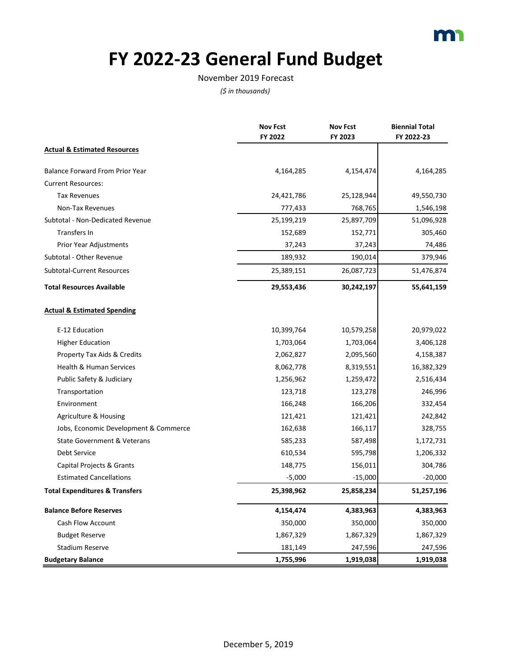

# **FY 2022-23 General Fund Budget**

#### November 2019 Forecast

|                                           | <b>Nov Fcst</b> | <b>Nov Fcst</b> | <b>Biennial Total</b> |
|-------------------------------------------|-----------------|-----------------|-----------------------|
|                                           | FY 2022         | FY 2023         | FY 2022-23            |
| <b>Actual &amp; Estimated Resources</b>   |                 |                 |                       |
| <b>Balance Forward From Prior Year</b>    | 4,164,285       | 4,154,474       | 4,164,285             |
| <b>Current Resources:</b>                 |                 |                 |                       |
| <b>Tax Revenues</b>                       | 24,421,786      | 25,128,944      | 49,550,730            |
| Non-Tax Revenues                          | 777,433         | 768,765         | 1,546,198             |
| Subtotal - Non-Dedicated Revenue          | 25,199,219      | 25,897,709      | 51,096,928            |
| <b>Transfers In</b>                       | 152,689         | 152,771         | 305,460               |
| Prior Year Adjustments                    | 37,243          | 37,243          | 74,486                |
| Subtotal - Other Revenue                  | 189,932         | 190,014         | 379,946               |
| <b>Subtotal-Current Resources</b>         | 25,389,151      | 26,087,723      | 51,476,874            |
| <b>Total Resources Available</b>          | 29,553,436      | 30,242,197      | 55,641,159            |
| <b>Actual &amp; Estimated Spending</b>    |                 |                 |                       |
| E-12 Education                            | 10,399,764      | 10,579,258      | 20,979,022            |
| <b>Higher Education</b>                   | 1,703,064       | 1,703,064       | 3,406,128             |
| Property Tax Aids & Credits               | 2,062,827       | 2,095,560       | 4,158,387             |
| Health & Human Services                   | 8,062,778       | 8,319,551       | 16,382,329            |
| Public Safety & Judiciary                 | 1,256,962       | 1,259,472       | 2,516,434             |
| Transportation                            | 123,718         | 123,278         | 246,996               |
| Environment                               | 166,248         | 166,206         | 332,454               |
| Agriculture & Housing                     | 121,421         | 121,421         | 242,842               |
| Jobs, Economic Development & Commerce     | 162,638         | 166,117         | 328,755               |
| <b>State Government &amp; Veterans</b>    | 585,233         | 587,498         | 1,172,731             |
| <b>Debt Service</b>                       | 610,534         | 595,798         | 1,206,332             |
| Capital Projects & Grants                 | 148,775         | 156,011         | 304,786               |
| <b>Estimated Cancellations</b>            | $-5,000$        | $-15,000$       | $-20,000$             |
| <b>Total Expenditures &amp; Transfers</b> | 25,398,962      | 25,858,234      | 51,257,196            |
| <b>Balance Before Reserves</b>            | 4,154,474       | 4,383,963       | 4,383,963             |
| Cash Flow Account                         | 350,000         | 350,000         | 350,000               |
| <b>Budget Reserve</b>                     | 1,867,329       | 1,867,329       | 1,867,329             |
| <b>Stadium Reserve</b>                    | 181,149         | 247,596         | 247,596               |
| <b>Budgetary Balance</b>                  | 1,755,996       | 1,919,038       | 1,919,038             |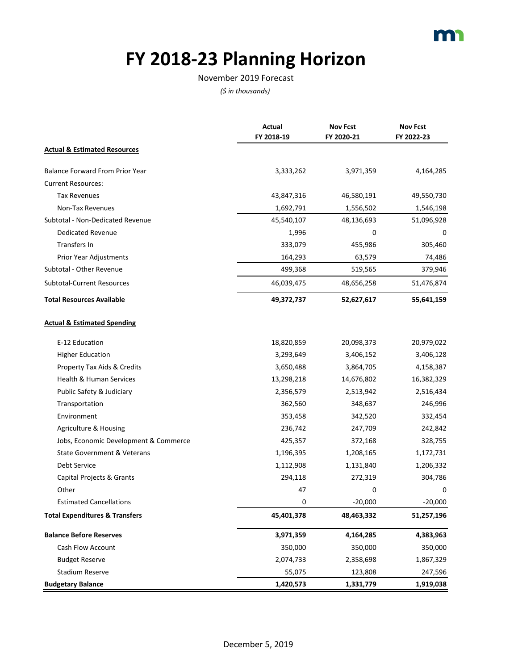### **FY 2018-23 Planning Horizon**

#### November 2019 Forecast

|                                           | Actual<br>FY 2018-19 | <b>Nov Fcst</b><br>FY 2020-21 | <b>Nov Fcst</b><br>FY 2022-23 |
|-------------------------------------------|----------------------|-------------------------------|-------------------------------|
| <b>Actual &amp; Estimated Resources</b>   |                      |                               |                               |
| Balance Forward From Prior Year           | 3,333,262            | 3,971,359                     | 4,164,285                     |
| <b>Current Resources:</b>                 |                      |                               |                               |
| <b>Tax Revenues</b>                       | 43,847,316           | 46,580,191                    | 49,550,730                    |
| Non-Tax Revenues                          | 1,692,791            | 1,556,502                     | 1,546,198                     |
| Subtotal - Non-Dedicated Revenue          | 45,540,107           | 48,136,693                    | 51,096,928                    |
| <b>Dedicated Revenue</b>                  | 1,996                | 0                             | 0                             |
| Transfers In                              | 333,079              | 455,986                       | 305,460                       |
| Prior Year Adjustments                    | 164,293              | 63,579                        | 74,486                        |
| Subtotal - Other Revenue                  | 499,368              | 519,565                       | 379,946                       |
| <b>Subtotal-Current Resources</b>         | 46,039,475           | 48,656,258                    | 51,476,874                    |
| <b>Total Resources Available</b>          | 49,372,737           | 52,627,617                    | 55,641,159                    |
| <b>Actual &amp; Estimated Spending</b>    |                      |                               |                               |
| E-12 Education                            | 18,820,859           | 20,098,373                    | 20,979,022                    |
| <b>Higher Education</b>                   | 3,293,649            | 3,406,152                     | 3,406,128                     |
| Property Tax Aids & Credits               | 3,650,488            | 3,864,705                     | 4,158,387                     |
| Health & Human Services                   | 13,298,218           | 14,676,802                    | 16,382,329                    |
| Public Safety & Judiciary                 | 2,356,579            | 2,513,942                     | 2,516,434                     |
| Transportation                            | 362,560              | 348,637                       | 246,996                       |
| Environment                               | 353,458              | 342,520                       | 332,454                       |
| Agriculture & Housing                     | 236,742              | 247,709                       | 242,842                       |
| Jobs, Economic Development & Commerce     | 425,357              | 372,168                       | 328,755                       |
| <b>State Government &amp; Veterans</b>    | 1,196,395            | 1,208,165                     | 1,172,731                     |
| <b>Debt Service</b>                       | 1,112,908            | 1,131,840                     | 1,206,332                     |
| Capital Projects & Grants                 | 294,118              | 272,319                       | 304,786                       |
| Other                                     | 47                   | 0                             | 0                             |
| <b>Estimated Cancellations</b>            | 0                    | $-20,000$                     | $-20,000$                     |
| <b>Total Expenditures &amp; Transfers</b> | 45,401,378           | 48,463,332                    | 51,257,196                    |
| <b>Balance Before Reserves</b>            | 3,971,359            | 4,164,285                     | 4,383,963                     |
| <b>Cash Flow Account</b>                  | 350,000              | 350,000                       | 350,000                       |
| <b>Budget Reserve</b>                     | 2,074,733            | 2,358,698                     | 1,867,329                     |
| <b>Stadium Reserve</b>                    | 55,075               | 123,808                       | 247,596                       |
| <b>Budgetary Balance</b>                  | 1,420,573            | 1,331,779                     | 1,919,038                     |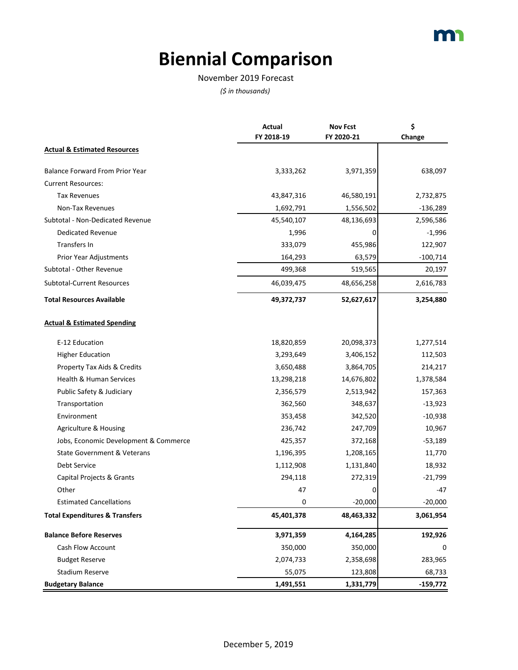# **Biennial Comparison**

#### November 2019 Forecast

|                                           | <b>Actual</b> | <b>Nov Fcst</b> | \$         |
|-------------------------------------------|---------------|-----------------|------------|
|                                           | FY 2018-19    | FY 2020-21      | Change     |
| <b>Actual &amp; Estimated Resources</b>   |               |                 |            |
| <b>Balance Forward From Prior Year</b>    | 3,333,262     | 3,971,359       | 638,097    |
| <b>Current Resources:</b>                 |               |                 |            |
| <b>Tax Revenues</b>                       | 43,847,316    | 46,580,191      | 2,732,875  |
| Non-Tax Revenues                          | 1,692,791     | 1,556,502       | $-136,289$ |
| Subtotal - Non-Dedicated Revenue          | 45,540,107    | 48,136,693      | 2,596,586  |
| <b>Dedicated Revenue</b>                  | 1,996         | 0               | $-1,996$   |
| Transfers In                              | 333,079       | 455,986         | 122,907    |
| Prior Year Adjustments                    | 164,293       | 63,579          | $-100,714$ |
| Subtotal - Other Revenue                  | 499,368       | 519,565         | 20,197     |
| Subtotal-Current Resources                | 46,039,475    | 48,656,258      | 2,616,783  |
| <b>Total Resources Available</b>          | 49,372,737    | 52,627,617      | 3,254,880  |
| <b>Actual &amp; Estimated Spending</b>    |               |                 |            |
| E-12 Education                            | 18,820,859    | 20,098,373      | 1,277,514  |
| <b>Higher Education</b>                   | 3,293,649     | 3,406,152       | 112,503    |
| Property Tax Aids & Credits               | 3,650,488     | 3,864,705       | 214,217    |
| Health & Human Services                   | 13,298,218    | 14,676,802      | 1,378,584  |
| Public Safety & Judiciary                 | 2,356,579     | 2,513,942       | 157,363    |
| Transportation                            | 362,560       | 348,637         | $-13,923$  |
| Environment                               | 353,458       | 342,520         | $-10,938$  |
| Agriculture & Housing                     | 236,742       | 247,709         | 10,967     |
| Jobs, Economic Development & Commerce     | 425,357       | 372,168         | $-53,189$  |
| <b>State Government &amp; Veterans</b>    | 1,196,395     | 1,208,165       | 11,770     |
| <b>Debt Service</b>                       | 1,112,908     | 1,131,840       | 18,932     |
| Capital Projects & Grants                 | 294,118       | 272,319         | $-21,799$  |
| Other                                     | 47            | 0               | -47        |
| <b>Estimated Cancellations</b>            | 0             | $-20,000$       | $-20,000$  |
| <b>Total Expenditures &amp; Transfers</b> | 45,401,378    | 48,463,332      | 3,061,954  |
| <b>Balance Before Reserves</b>            | 3,971,359     | 4,164,285       | 192,926    |
| Cash Flow Account                         | 350,000       | 350,000         | 0          |
| <b>Budget Reserve</b>                     | 2,074,733     | 2,358,698       | 283,965    |
| <b>Stadium Reserve</b>                    | 55,075        | 123,808         | 68,733     |
| <b>Budgetary Balance</b>                  | 1,491,551     | 1,331,779       | $-159,772$ |